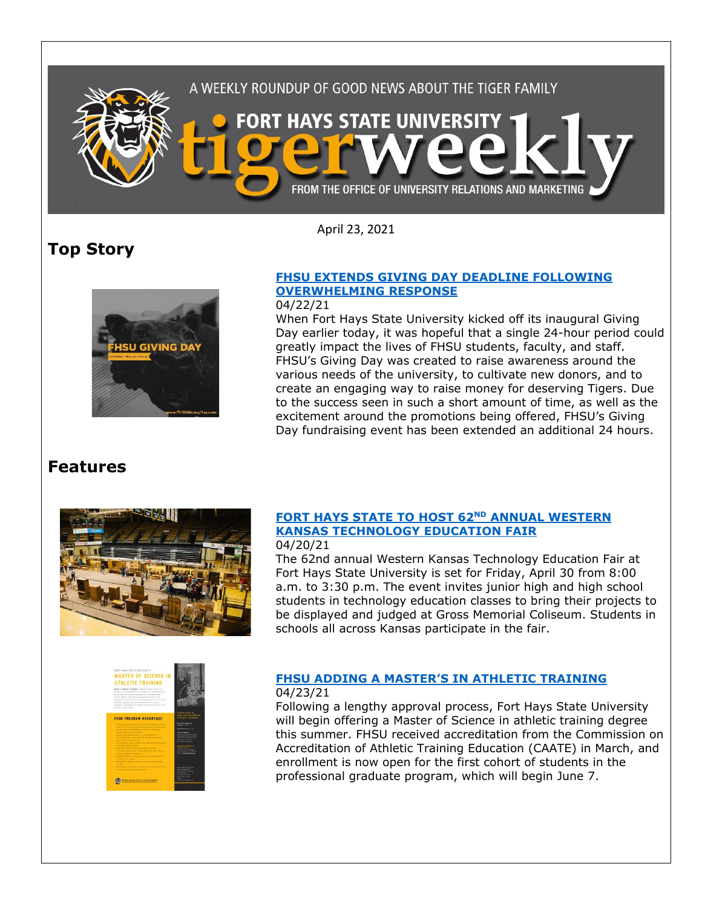

April 23, 2021

# **Top Story**



## **[FHSU EXTENDS GIVING DAY DEADLINE FOLLOWING](https://www.fhsu.edu/news/2021/04/fhsu-extends-giving-day-deadline-following-overwhelming-response)  [OVERWHELMING RESPONSE](https://www.fhsu.edu/news/2021/04/fhsu-extends-giving-day-deadline-following-overwhelming-response)**

### 04/22/21

When Fort Hays State University kicked off its inaugural Giving Day earlier today, it was hopeful that a single 24-hour period could greatly impact the lives of FHSU students, faculty, and staff. FHSU's Giving Day was created to raise awareness around the various needs of the university, to cultivate new donors, and to create an engaging way to raise money for deserving Tigers. Due to the success seen in such a short amount of time, as well as the excitement around the promotions being offered, FHSU's Giving Day fundraising event has been extended an additional 24 hours.

# **Features**



## **[FORT HAYS STATE TO HOST 62](https://www.fhsu.edu/news/2021/04/fort-hays-state-to-host-62nd-annual-western-kansas-technology-education-fair)ND ANNUAL WESTERN [KANSAS TECHNOLOGY EDUCATION FAIR](https://www.fhsu.edu/news/2021/04/fort-hays-state-to-host-62nd-annual-western-kansas-technology-education-fair)**

04/20/21

The 62nd annual Western Kansas Technology Education Fair at Fort Hays State University is set for Friday, April 30 from 8:00 a.m. to 3:30 p.m. The event invites junior high and high school students in technology education classes to bring their projects to be displayed and judged at Gross Memorial Coliseum. Students in schools all across Kansas participate in the fair.



#### **FHSU ADDING A MASTER['S IN ATHLETIC TRAINING](https://www.fhsu.edu/news/2021/04/fhsu-adding-a-masters-in-athletic-training)** 04/23/21

Following a lengthy approval process, Fort Hays State University will begin offering a Master of Science in athletic training degree this summer. FHSU received accreditation from the Commission on Accreditation of Athletic Training Education (CAATE) in March, and enrollment is now open for the first cohort of students in the professional graduate program, which will begin June 7.